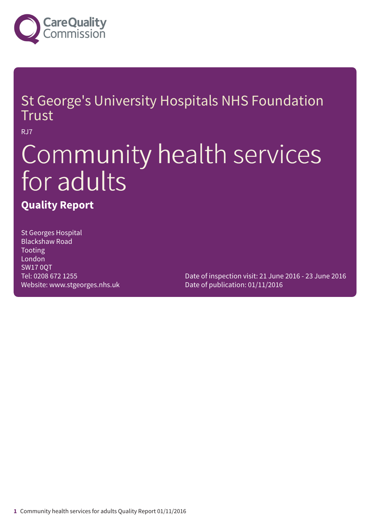

### St George's University Hospitals NHS Foundation Trust

RJ7

# Community health services for adults

### **Quality Report**

St Georges Hospital Blackshaw Road Tooting London SW17 0QT Tel: 0208 672 1255 Website: www.stgeorges.nhs.uk

Date of inspection visit: 21 June 2016 - 23 June 2016 Date of publication: 01/11/2016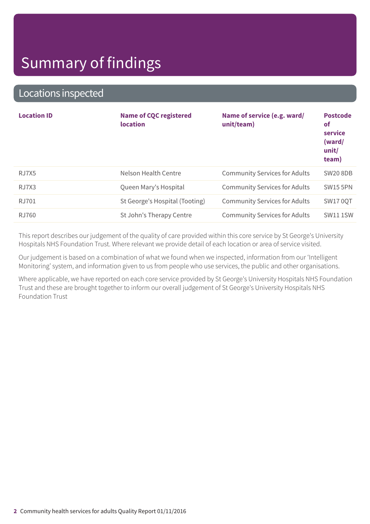### Locations inspected

| <b>Location ID</b> | <b>Name of CQC registered</b><br><b>location</b> | Name of service (e.g. ward/<br>unit/team) | <b>Postcode</b><br><b>of</b><br>service<br>(ward/<br>unit/<br>team) |
|--------------------|--------------------------------------------------|-------------------------------------------|---------------------------------------------------------------------|
| RJ7X5              | Nelson Health Centre                             | <b>Community Services for Adults</b>      | <b>SW20 8DB</b>                                                     |
| RJ7X3              | Queen Mary's Hospital                            | <b>Community Services for Adults</b>      | <b>SW15 5PN</b>                                                     |
| RJ701              | St George's Hospital (Tooting)                   | <b>Community Services for Adults</b>      | <b>SW17 0QT</b>                                                     |
| RJ760              | St John's Therapy Centre                         | <b>Community Services for Adults</b>      | <b>SW11 1SW</b>                                                     |

This report describes our judgement of the quality of care provided within this core service by St George's University Hospitals NHS Foundation Trust. Where relevant we provide detail of each location or area of service visited.

Our judgement is based on a combination of what we found when we inspected, information from our 'Intelligent Monitoring' system, and information given to us from people who use services, the public and other organisations.

Where applicable, we have reported on each core service provided by St George's University Hospitals NHS Foundation Trust and these are brought together to inform our overall judgement of St George's University Hospitals NHS Foundation Trust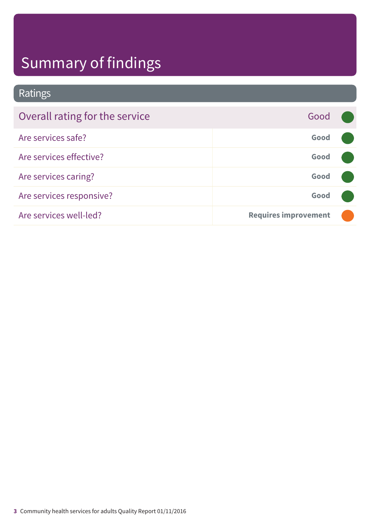### Ratings

| Overall rating for the service | Good                        |  |
|--------------------------------|-----------------------------|--|
| Are services safe?             | Good                        |  |
| Are services effective?        | Good                        |  |
| Are services caring?           | Good                        |  |
| Are services responsive?       | Good                        |  |
| Are services well-led?         | <b>Requires improvement</b> |  |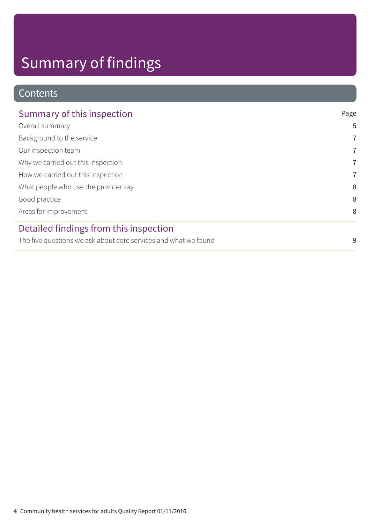### Contents

| Summary of this inspection                                      | Page           |
|-----------------------------------------------------------------|----------------|
| Overall summary                                                 | 5              |
| Background to the service                                       | $\overline{7}$ |
| Our inspection team                                             | $\overline{7}$ |
| Why we carried out this inspection                              | $\overline{7}$ |
| How we carried out this inspection                              | $\overline{7}$ |
| What people who use the provider say                            | 8              |
| Good practice                                                   | 8              |
| Areas for improvement                                           | 8              |
| Detailed findings from this inspection                          |                |
| The five questions we ask about core services and what we found | 9              |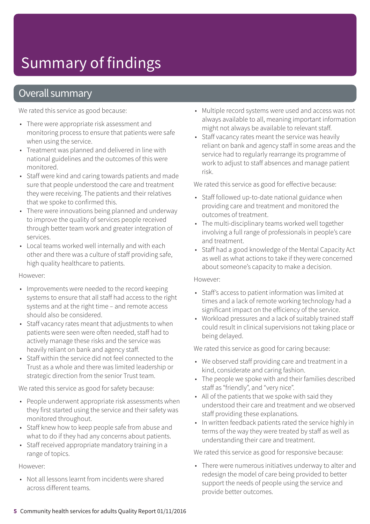### Overall summary

We rated this service as good because:

- There were appropriate risk assessment and monitoring process to ensure that patients were safe when using the service.
- Treatment was planned and delivered in line with national guidelines and the outcomes of this were monitored.
- Staff were kind and caring towards patients and made sure that people understood the care and treatment they were receiving. The patients and their relatives that we spoke to confirmed this.
- There were innovations being planned and underway to improve the quality of services people received through better team work and greater integration of services.
- Local teams worked well internally and with each other and there was a culture of staff providing safe, high quality healthcare to patients.

#### However:

- Improvements were needed to the record keeping systems to ensure that all staff had access to the right systems and at the right time – and remote access should also be considered.
- Staff vacancy rates meant that adjustments to when patients were seen were often needed, staff had to actively manage these risks and the service was heavily reliant on bank and agency staff.
- Staff within the service did not feel connected to the Trust as a whole and there was limited leadership or strategic direction from the senior Trust team.

We rated this service as good for safety because:

- People underwent appropriate risk assessments when they first started using the service and their safety was monitored throughout.
- Staff knew how to keep people safe from abuse and what to do if they had any concerns about patients.
- Staff received appropriate mandatory training in a range of topics.

However:

• Not all lessons learnt from incidents were shared across different teams.

- Multiple record systems were used and access was not always available to all, meaning important information might not always be available to relevant staff.
- Staff vacancy rates meant the service was heavily reliant on bank and agency staff in some areas and the service had to regularly rearrange its programme of work to adjust to staff absences and manage patient risk.

We rated this service as good for effective because:

- Staff followed up-to-date national guidance when providing care and treatment and monitored the outcomes of treatment.
- The multi-disciplinary teams worked well together involving a full range of professionals in people's care and treatment.
- Staff had a good knowledge of the Mental Capacity Act as well as what actions to take if they were concerned about someone's capacity to make a decision.

#### However:

- Staff's access to patient information was limited at times and a lack of remote working technology had a significant impact on the efficiency of the service.
- Workload pressures and a lack of suitably trained staff could result in clinical supervisions not taking place or being delayed.

We rated this service as good for caring because:

- We observed staff providing care and treatment in a kind, considerate and caring fashion.
- The people we spoke with and their families described staff as "friendly", and "very nice".
- All of the patients that we spoke with said they understood their care and treatment and we observed staff providing these explanations.
- In written feedback patients rated the service highly in terms of the way they were treated by staff as well as understanding their care and treatment.

We rated this service as good for responsive because:

• There were numerous initiatives underway to alter and redesign the model of care being provided to better support the needs of people using the service and provide better outcomes.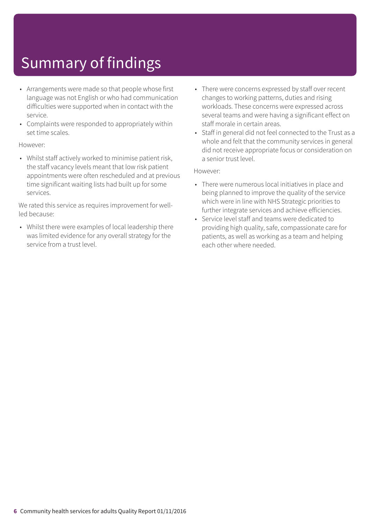- Arrangements were made so that people whose first language was not English or who had communication difficulties were supported when in contact with the service.
- Complaints were responded to appropriately within set time scales.

#### However:

• Whilst staff actively worked to minimise patient risk, the staff vacancy levels meant that low risk patient appointments were often rescheduled and at previous time significant waiting lists had built up for some services.

We rated this service as requires improvement for wellled because:

• Whilst there were examples of local leadership there was limited evidence for any overall strategy for the service from a trust level.

- There were concerns expressed by staff over recent changes to working patterns, duties and rising workloads. These concerns were expressed across several teams and were having a significant effect on staff morale in certain areas.
- Staff in general did not feel connected to the Trust as a whole and felt that the community services in general did not receive appropriate focus or consideration on a senior trust level.

#### However:

- There were numerous local initiatives in place and being planned to improve the quality of the service which were in line with NHS Strategic priorities to further integrate services and achieve efficiencies.
- Service level staff and teams were dedicated to providing high quality, safe, compassionate care for patients, as well as working as a team and helping each other where needed.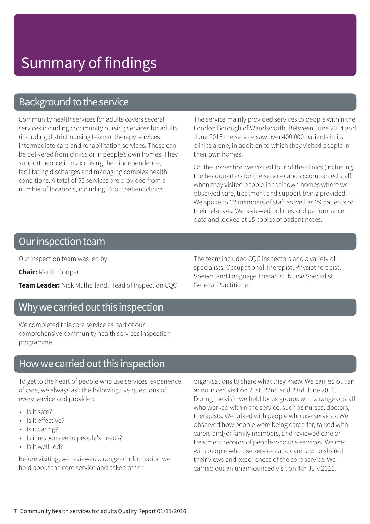### Background to the service

Community health services for adults covers several services including community nursing services for adults (including district nursing teams), therapy services, intermediate care and rehabilitation services. These can be delivered from clinics or in people's own homes. They support people in maximising their independence, facilitating discharges and managing complex health conditions. A total of 55 services are provided from a number of locations, including 32 outpatient clinics.

The service mainly provided services to people within the London Borough of Wandsworth. Between June 2014 and June 2015 the service saw over 400,000 patients in its clinics alone, in addition to which they visited people in their own homes.

On the inspection we visited four of the clinics (including the headquarters for the service) and accompanied staff when they visited people in their own homes where we observed care, treatment and support being provided. We spoke to 62 members of staff as well as 29 patients or their relatives. We reviewed policies and performance data and looked at 15 copies of patient notes.

### Our inspection team

Our inspection team was led by:

**Chair:** Martin Cooper

**Team Leader:** Nick Mulholland, Head of Inspection CQC

### Why we carried out this inspection

We completed this core service as part of our comprehensive community health services inspection programme.

### How we carried out this inspection

To get to the heart of people who use services' experience of care, we always ask the following five questions of every service and provider:

- Is it safe?
- Is it effective?
- Is it caring?
- Is it responsive to people's needs?
- Is it well-led?

Before visiting, we reviewed a range of information we hold about the core service and asked other

The team included CQC inspectors and a variety of specialists: Occupational Therapist, Physiotherapist, Speech and Language Therapist, Nurse Specialist, General Practitioner.

organisations to share what they knew. We carried out an announced visit on 21st, 22nd and 23rd June 2016. During the visit, we held focus groups with a range of staff who worked within the service, such as nurses, doctors, therapists. We talked with people who use services. We observed how people were being cared for, talked with carers and/or family members, and reviewed care or treatment records of people who use services. We met with people who use services and carers, who shared their views and experiences of the core service. We carried out an unannounced visit on 4th July 2016.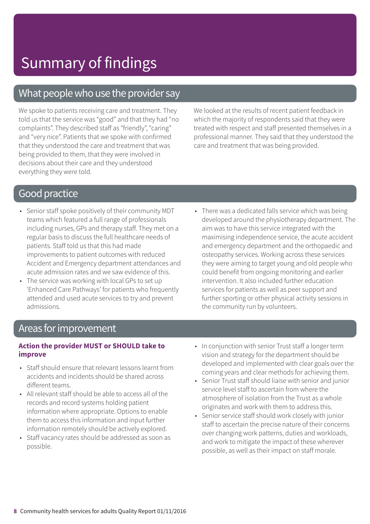### What people who use the provider say

We spoke to patients receiving care and treatment. They told us that the service was "good" and that they had "no complaints". They described staff as "friendly", "caring" and "very nice". Patients that we spoke with confirmed that they understood the care and treatment that was being provided to them, that they were involved in decisions about their care and they understood everything they were told.

We looked at the results of recent patient feedback in which the majority of respondents said that they were treated with respect and staff presented themselves in a professional manner. They said that they understood the care and treatment that was being provided.

### **Good practice**

- Senior staff spoke positively of their community MDT teams which featured a full range of professionals including nurses, GPs and therapy staff. They met on a regular basis to discuss the full healthcare needs of patients. Staff told us that this had made improvements to patient outcomes with reduced Accident and Emergency department attendances and acute admission rates and we saw evidence of this.
- The service was working with local GPs to set up 'Enhanced Care Pathways' for patients who frequently attended and used acute services to try and prevent admissions.
- There was a dedicated falls service which was being developed around the physiotherapy department. The aim was to have this service integrated with the maximising independence service, the acute accident and emergency department and the orthopaedic and osteopathy services. Working across these services they were aiming to target young and old people who could benefit from ongoing monitoring and earlier intervention. It also included further education services for patients as well as peer support and further sporting or other physical activity sessions in the community run by volunteers.

### Areas for improvement

#### **Action the provider MUST or SHOULD take to improve**

- Staff should ensure that relevant lessons learnt from accidents and incidents should be shared across different teams.
- All relevant staff should be able to access all of the records and record systems holding patient information where appropriate. Options to enable them to access this information and input further information remotely should be actively explored.
- Staff vacancy rates should be addressed as soon as possible.
- In conjunction with senior Trust staff a longer term vision and strategy for the department should be developed and implemented with clear goals over the coming years and clear methods for achieving them.
- Senior Trust staff should liaise with senior and junior service level staff to ascertain from where the atmosphere of isolation from the Trust as a whole originates and work with them to address this.
- Senior service staff should work closely with junior staff to ascertain the precise nature of their concerns over changing work patterns, duties and workloads, and work to mitigate the impact of these wherever possible, as well as their impact on staff morale.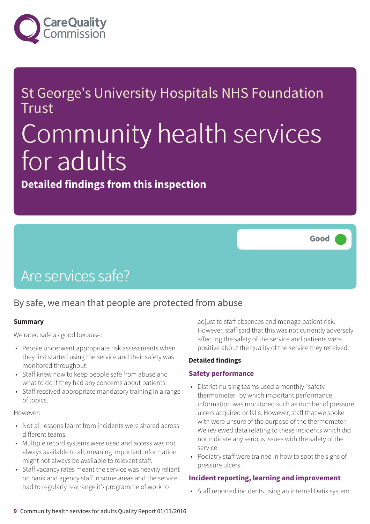

### St George's University Hospitals NHS Foundation Trust

# Community health services for adults

**Detailed findings from this inspection**



### Are services safe?

### By safe, we mean that people are protected from abuse

#### **Summary**

We rated safe as good because:

- People underwent appropriate risk assessments when they first started using the service and their safety was monitored throughout.
- Staff knew how to keep people safe from abuse and what to do if they had any concerns about patients.
- Staff received appropriate mandatory training in a range of topics.

#### However:

- Not all lessons learnt from incidents were shared across different teams.
- Multiple record systems were used and access was not always available to all, meaning important information might not always be available to relevant staff.
- Staff vacancy rates meant the service was heavily reliant on bank and agency staff in some areas and the service had to regularly rearrange it's programme of work to

adjust to staff absences and manage patient risk. However, staff said that this was not currently adversely affecting the safety of the service and patients were positive about the quality of the service they received.

#### **Detailed findings**

#### **Safety performance**

- District nursing teams used a monthly "safety thermometer" by which important performance information was monitored such as number of pressure ulcers acquired or falls. However, staff that we spoke with were unsure of the purpose of the thermometer. We reviewed data relating to these incidents which did not indicate any serious issues with the safety of the service.
- Podiatry staff were trained in how to spot the signs of pressure ulcers.

#### **Incident reporting, learning and improvement**

• Staff reported incidents using an internal Datix system.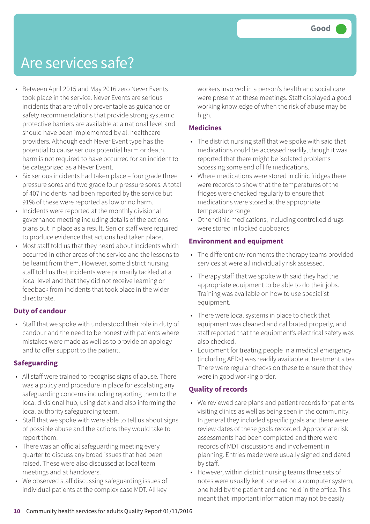### Are services safe?

- Between April 2015 and May 2016 zero Never Events took place in the service. Never Events are serious incidents that are wholly preventable as guidance or safety recommendations that provide strong systemic protective barriers are available at a national level and should have been implemented by all healthcare providers. Although each Never Event type has the potential to cause serious potential harm or death, harm is not required to have occurred for an incident to be categorized as a Never Event.
- Six serious incidents had taken place four grade three pressure sores and two grade four pressure sores. A total of 407 incidents had been reported by the service but 91% of these were reported as low or no harm.
- Incidents were reported at the monthly divisional governance meeting including details of the actions plans put in place as a result. Senior staff were required to produce evidence that actions had taken place.
- Most staff told us that they heard about incidents which occurred in other areas of the service and the lessons to be learnt from them. However, some district nursing staff told us that incidents were primarily tackled at a local level and that they did not receive learning or feedback from incidents that took place in the wider directorate.

#### **Duty of candour**

• Staff that we spoke with understood their role in duty of candour and the need to be honest with patients where mistakes were made as well as to provide an apology and to offer support to the patient.

#### **Safeguarding**

- All staff were trained to recognise signs of abuse. There was a policy and procedure in place for escalating any safeguarding concerns including reporting them to the local divisional hub, using datix and also informing the local authority safeguarding team.
- Staff that we spoke with were able to tell us about signs of possible abuse and the actions they would take to report them.
- There was an official safeguarding meeting every quarter to discuss any broad issues that had been raised. These were also discussed at local team meetings and at handovers.
- We observed staff discussing safeguarding issues of individual patients at the complex case MDT. All key

workers involved in a person's health and social care were present at these meetings. Staff displayed a good working knowledge of when the risk of abuse may be high.

#### **Medicines**

- The district nursing staff that we spoke with said that medications could be accessed readily, though it was reported that there might be isolated problems accessing some end of life medications.
- Where medications were stored in clinic fridges there were records to show that the temperatures of the fridges were checked regularly to ensure that medications were stored at the appropriate temperature range.
- Other clinic medications, including controlled drugs were stored in locked cupboards

#### **Environment and equipment**

- The different environments the therapy teams provided services at were all individually risk assessed.
- Therapy staff that we spoke with said they had the appropriate equipment to be able to do their jobs. Training was available on how to use specialist equipment.
- There were local systems in place to check that equipment was cleaned and calibrated properly, and staff reported that the equipment's electrical safety was also checked.
- Equipment for treating people in a medical emergency (including AEDs) was readily available at treatment sites. There were regular checks on these to ensure that they were in good working order.

#### **Quality of records**

- We reviewed care plans and patient records for patients visiting clinics as well as being seen in the community. In general they included specific goals and there were review dates of these goals recorded. Appropriate risk assessments had been completed and there were records of MDT discussions and involvement in planning. Entries made were usually signed and dated by staff.
- However, within district nursing teams three sets of notes were usually kept; one set on a computer system, one held by the patient and one held in the office. This meant that important information may not be easily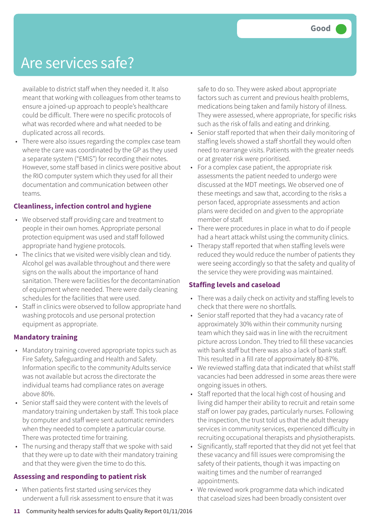### Are services safe?

available to district staff when they needed it. It also meant that working with colleagues from other teams to ensure a joined-up approach to people's healthcare could be difficult. There were no specific protocols of what was recorded where and what needed to be duplicated across all records.

• There were also issues regarding the complex case team where the care was coordinated by the GP as they used a separate system ("EMIS") for recording their notes. However, some staff based in clinics were positive about the RIO computer system which they used for all their documentation and communication between other teams.

#### **Cleanliness, infection control and hygiene**

- We observed staff providing care and treatment to people in their own homes. Appropriate personal protection equipment was used and staff followed appropriate hand hygiene protocols.
- The clinics that we visited were visibly clean and tidy. Alcohol gel was available throughout and there were signs on the walls about the importance of hand sanitation. There were facilities for the decontamination of equipment where needed. There were daily cleaning schedules for the facilities that were used.
- Staff in clinics were observed to follow appropriate hand washing protocols and use personal protection equipment as appropriate.

#### **Mandatory training**

- Mandatory training covered appropriate topics such as Fire Safety, Safeguarding and Health and Safety. Information specific to the community Adults service was not available but across the directorate the individual teams had compliance rates on average above 80%.
- Senior staff said they were content with the levels of mandatory training undertaken by staff. This took place by computer and staff were sent automatic reminders when they needed to complete a particular course. There was protected time for training.
- The nursing and therapy staff that we spoke with said that they were up to date with their mandatory training and that they were given the time to do this.

#### **Assessing and responding to patient risk**

• When patients first started using services they underwent a full risk assessment to ensure that it was safe to do so. They were asked about appropriate factors such as current and previous health problems, medications being taken and family history of illness. They were assessed, where appropriate, for specific risks such as the risk of falls and eating and drinking.

- Senior staff reported that when their daily monitoring of staffing levels showed a staff shortfall they would often need to rearrange visits. Patients with the greater needs or at greater risk were prioritised.
- For a complex case patient, the appropriate risk assessments the patient needed to undergo were discussed at the MDT meetings. We observed one of these meetings and saw that, according to the risks a person faced, appropriate assessments and action plans were decided on and given to the appropriate member of staff.
- There were procedures in place in what to do if people had a heart attack whilst using the community clinics.
- Therapy staff reported that when staffing levels were reduced they would reduce the number of patients they were seeing accordingly so that the safety and quality of the service they were providing was maintained.

#### **Staffing levels and caseload**

- There was a daily check on activity and staffing levels to check that there were no shortfalls.
- Senior staff reported that they had a vacancy rate of approximately 30% within their community nursing team which they said was in line with the recruitment picture across London. They tried to fill these vacancies with bank staff but there was also a lack of bank staff. This resulted in a fill rate of approximately 80-87%.
- We reviewed staffing data that indicated that whilst staff vacancies had been addressed in some areas there were ongoing issues in others.
- Staff reported that the local high cost of housing and living did hamper their ability to recruit and retain some staff on lower pay grades, particularly nurses. Following the inspection, the trust told us that the adult therapy services in community services, experienced difficulty in recruiting occupational therapists and physiotherapists.
- Significantly, staff reported that they did not yet feel that these vacancy and fill issues were compromising the safety of their patients, though it was impacting on waiting times and the number of rearranged appointments.
- We reviewed work programme data which indicated that caseload sizes had been broadly consistent over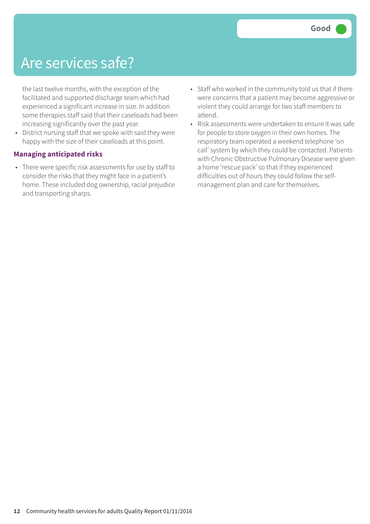### Are services safe?

the last twelve months, with the exception of the facilitated and supported discharge team which had experienced a significant increase in size. In addition some therapies staff said that their caseloads had been increasing significantly over the past year.

• District nursing staff that we spoke with said they were happy with the size of their caseloads at this point.

#### **Managing anticipated risks**

- There were specific risk assessments for use by staff to consider the risks that they might face in a patient's home. These included dog ownership, racial prejudice and transporting sharps.
- Staff who worked in the community told us that if there were concerns that a patient may become aggressive or violent they could arrange for two staff members to attend.
- Risk assessments were undertaken to ensure it was safe for people to store oxygen in their own homes. The respiratory team operated a weekend telephone 'on call' system by which they could be contacted. Patients with Chronic Obstructive Pulmonary Disease were given a home 'rescue pack' so that if they experienced difficulties out of hours they could follow the selfmanagement plan and care for themselves.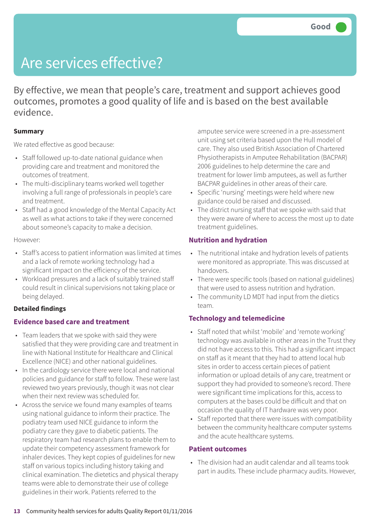## Are services effective?

By effective, we mean that people's care, treatment and support achieves good outcomes, promotes a good quality of life and is based on the best available evidence.

#### **Summary**

We rated effective as good because:

- Staff followed up-to-date national guidance when providing care and treatment and monitored the outcomes of treatment.
- The multi-disciplinary teams worked well together involving a full range of professionals in people's care and treatment.
- Staff had a good knowledge of the Mental Capacity Act as well as what actions to take if they were concerned about someone's capacity to make a decision.

#### However:

- Staff's access to patient information was limited at times and a lack of remote working technology had a significant impact on the efficiency of the service.
- Workload pressures and a lack of suitably trained staff could result in clinical supervisions not taking place or being delayed.

#### **Detailed findings**

#### **Evidence based care and treatment**

- Team leaders that we spoke with said they were satisfied that they were providing care and treatment in line with National Institute for Healthcare and Clinical Excellence (NICE) and other national guidelines.
- In the cardiology service there were local and national policies and guidance for staff to follow. These were last reviewed two years previously, though it was not clear when their next review was scheduled for.
- Across the service we found many examples of teams using national guidance to inform their practice. The podiatry team used NICE guidance to inform the podiatry care they gave to diabetic patients. The respiratory team had research plans to enable them to update their competency assessment framework for inhaler devices. They kept copies of guidelines for new staff on various topics including history taking and clinical examination. The dietetics and physical therapy teams were able to demonstrate their use of college guidelines in their work. Patients referred to the

amputee service were screened in a pre-assessment unit using set criteria based upon the Hull model of care. They also used British Association of Chartered Physiotherapists in Amputee Rehabilitation (BACPAR) 2006 guidelines to help determine the care and treatment for lower limb amputees, as well as further BACPAR guidelines in other areas of their care.

- Specific 'nursing' meetings were held where new guidance could be raised and discussed.
- The district nursing staff that we spoke with said that they were aware of where to access the most up to date treatment guidelines.

#### **Nutrition and hydration**

- The nutritional intake and hydration levels of patients were monitored as appropriate. This was discussed at handovers.
- There were specific tools (based on national guidelines) that were used to assess nutrition and hydration.
- The community LD MDT had input from the dietics team.

#### **Technology and telemedicine**

- Staff noted that whilst 'mobile' and 'remote working' technology was available in other areas in the Trust they did not have access to this. This had a significant impact on staff as it meant that they had to attend local hub sites in order to access certain pieces of patient information or upload details of any care, treatment or support they had provided to someone's record. There were significant time implications for this, access to computers at the bases could be difficult and that on occasion the quality of IT hardware was very poor.
- Staff reported that there were issues with compatibility between the community healthcare computer systems and the acute healthcare systems.

#### **Patient outcomes**

• The division had an audit calendar and all teams took part in audits. These include pharmacy audits. However,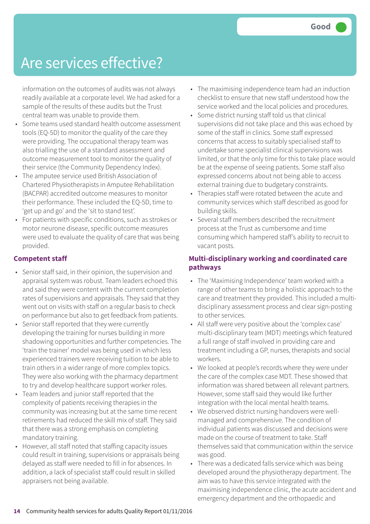## Are services effective?

information on the outcomes of audits was not always readily available at a corporate level. We had asked for a sample of the results of these audits but the Trust central team was unable to provide them.

- Some teams used standard health outcome assessment tools (EQ-5D) to monitor the quality of the care they were providing. The occupational therapy team was also trialling the use of a standard assessment and outcome measurement tool to monitor the quality of their service (the Community Dependency Index).
- The amputee service used British Association of Chartered Physiotherapists in Amputee Rehabilitation (BACPAR) accredited outcome measures to monitor their performance. These included the EQ-5D, time to 'get up and go' and the 'sit to stand test'.
- For patients with specific conditions, such as strokes or motor neurone disease, specific outcome measures were used to evaluate the quality of care that was being provided.

#### **Competent staff**

- Senior staff said, in their opinion, the supervision and appraisal system was robust. Team leaders echoed this and said they were content with the current completion rates of supervisions and appraisals. They said that they went out on visits with staff on a regular basis to check on performance but also to get feedback from patients.
- Senior staff reported that they were currently developing the training for nurses building in more shadowing opportunities and further competencies. The 'train the trainer' model was being used in which less experienced trainers were receiving tuition to be able to train others in a wider range of more complex topics. They were also working with the pharmacy department to try and develop healthcare support worker roles.
- Team leaders and junior staff reported that the complexity of patients receiving therapies in the community was increasing but at the same time recent retirements had reduced the skill mix of staff. They said that there was a strong emphasis on completing mandatory training.
- However, all staff noted that staffing capacity issues could result in training, supervisions or appraisals being delayed as staff were needed to fill in for absences. In addition, a lack of specialist staff could result in skilled appraisers not being available.
- The maximising independence team had an induction checklist to ensure that new staff understood how the service worked and the local policies and procedures.
- Some district nursing staff told us that clinical supervisions did not take place and this was echoed by some of the staff in clinics. Some staff expressed concerns that access to suitably specialised staff to undertake some specialist clinical supervisions was limited, or that the only time for this to take place would be at the expense of seeing patients. Some staff also expressed concerns about not being able to access external training due to budgetary constraints.
- Therapies staff were rotated between the acute and community services which staff described as good for building skills.
- Several staff members described the recruitment process at the Trust as cumbersome and time consuming which hampered staff's ability to recruit to vacant posts.

#### **Multi-disciplinary working and coordinated care pathways**

- The 'Maximising Independence' team worked with a range of other teams to bring a holistic approach to the care and treatment they provided. This included a multidisciplinary assessment process and clear sign-posting to other services.
- All staff were very positive about the 'complex case' multi-disciplinary team (MDT) meetings which featured a full range of staff involved in providing care and treatment including a GP, nurses, therapists and social workers.
- We looked at people's records where they were under the care of the complex case MDT. These showed that information was shared between all relevant partners. However, some staff said they would like further integration with the local mental health teams.
- We observed district nursing handovers were wellmanaged and comprehensive. The condition of individual patients was discussed and decisions were made on the course of treatment to take. Staff themselves said that communication within the service was good.
- There was a dedicated falls service which was being developed around the physiotherapy department. The aim was to have this service integrated with the maximising independence clinic, the acute accident and emergency department and the orthopaedic and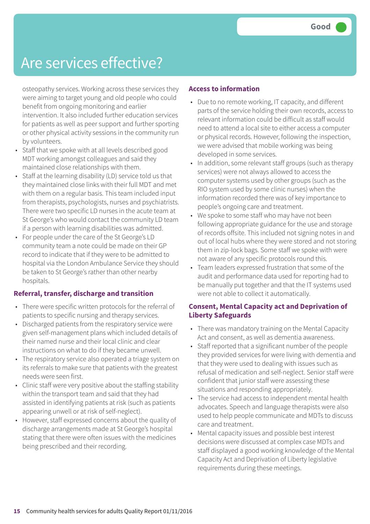## Are services effective?

osteopathy services. Working across these services they were aiming to target young and old people who could benefit from ongoing monitoring and earlier intervention. It also included further education services for patients as well as peer support and further sporting or other physical activity sessions in the community run by volunteers.

- Staff that we spoke with at all levels described good MDT working amongst colleagues and said they maintained close relationships with them.
- Staff at the learning disability (LD) service told us that they maintained close links with their full MDT and met with them on a regular basis. This team included input from therapists, psychologists, nurses and psychiatrists. There were two specific LD nurses in the acute team at St George's who would contact the community LD team if a person with learning disabilities was admitted.
- For people under the care of the St George's LD community team a note could be made on their GP record to indicate that if they were to be admitted to hospital via the London Ambulance Service they should be taken to St George's rather than other nearby hospitals.

#### **Referral, transfer, discharge and transition**

- There were specific written protocols for the referral of patients to specific nursing and therapy services.
- Discharged patients from the respiratory service were given self-management plans which included details of their named nurse and their local clinic and clear instructions on what to do if they became unwell.
- The respiratory service also operated a triage system on its referrals to make sure that patients with the greatest needs were seen first.
- Clinic staff were very positive about the staffing stability within the transport team and said that they had assisted in identifying patients at risk (such as patients appearing unwell or at risk of self-neglect).
- However, staff expressed concerns about the quality of discharge arrangements made at St George's hospital stating that there were often issues with the medicines being prescribed and their recording.

#### **Access to information**

- Due to no remote working, IT capacity, and different parts of the service holding their own records, access to relevant information could be difficult as staff would need to attend a local site to either access a computer or physical records. However, following the inspection, we were advised that mobile working was being developed in some services.
- In addition, some relevant staff groups (such as therapy services) were not always allowed to access the computer systems used by other groups (such as the RIO system used by some clinic nurses) when the information recorded there was of key importance to people's ongoing care and treatment.
- We spoke to some staff who may have not been following appropriate guidance for the use and storage of records offsite. This included not signing notes in and out of local hubs where they were stored and not storing them in zip-lock bags. Some staff we spoke with were not aware of any specific protocols round this.
- Team leaders expressed frustration that some of the audit and performance data used for reporting had to be manually put together and that the IT systems used were not able to collect it automatically.

#### **Consent, Mental Capacity act and Deprivation of Liberty Safeguards**

- There was mandatory training on the Mental Capacity Act and consent, as well as dementia awareness.
- Staff reported that a significant number of the people they provided services for were living with dementia and that they were used to dealing with issues such as refusal of medication and self-neglect. Senior staff were confident that junior staff were assessing these situations and responding appropriately.
- The service had access to independent mental health advocates. Speech and language therapists were also used to help people communicate and MDTs to discuss care and treatment.
- Mental capacity issues and possible best interest decisions were discussed at complex case MDTs and staff displayed a good working knowledge of the Mental Capacity Act and Deprivation of Liberty legislative requirements during these meetings.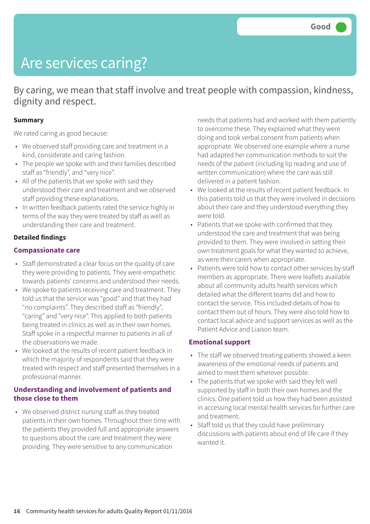## Are services caring?

By caring, we mean that staff involve and treat people with compassion, kindness, dignity and respect.

#### **Summary**

We rated caring as good because:

- We observed staff providing care and treatment in a kind, considerate and caring fashion.
- The people we spoke with and their families described staff as "friendly", and "very nice".
- All of the patients that we spoke with said they understood their care and treatment and we observed staff providing these explanations.
- In written feedback patients rated the service highly in terms of the way they were treated by staff as well as understanding their care and treatment.

#### **Detailed findings**

#### **Compassionate care**

- Staff demonstrated a clear focus on the quality of care they were providing to patients. They were empathetic towards patients' concerns and understood their needs.
- We spoke to patients receiving care and treatment. They told us that the service was "good" and that they had "no complaints". They described staff as "friendly", "caring" and "very nice". This applied to both patients being treated in clinics as well as in their own homes. Staff spoke in a respectful manner to patients in all of the observations we made.
- We looked at the results of recent patient feedback in which the majority of respondents said that they were treated with respect and staff presented themselves in a professional manner.

#### **Understanding and involvement of patients and those close to them**

• We observed district nursing staff as they treated patients in their own homes. Throughout their time with the patients they provided full and appropriate answers to questions about the care and treatment they were providing. They were sensitive to any communication

needs that patients had and worked with them patiently to overcome these. They explained what they were doing and took verbal consent from patients when appropriate. We observed one example where a nurse had adapted her communication methods to suit the needs of the patient (including lip reading and use of written communication) where the care was still delivered in a patient fashion.

- We looked at the results of recent patient feedback. In this patients told us that they were involved in decisions about their care and they understood everything they were told.
- Patients that we spoke with confirmed that they understood the care and treatment that was being provided to them. They were involved in setting their own treatment goals for what they wanted to achieve, as were their carers when appropriate.
- Patients were told how to contact other services by staff members as appropriate. There were leaflets available about all community adults health services which detailed what the different teams did and how to contact the service. This included details of how to contact them out of hours. They were also told how to contact local advice and support services as well as the Patient Advice and Liaison team.

#### **Emotional support**

- The staff we observed treating patients showed a keen awareness of the emotional needs of patients and aimed to meet them wherever possible.
- The patients that we spoke with said they felt well supported by staff in both their own homes and the clinics. One patient told us how they had been assisted in accessing local mental health services for further care and treatment.
- Staff told us that they could have preliminary discussions with patients about end of life care if they wanted it.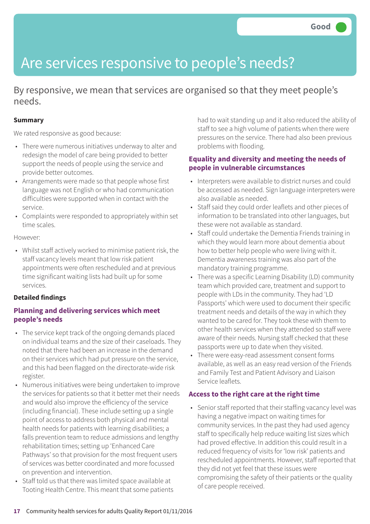## Are services responsive to people's needs?

By responsive, we mean that services are organised so that they meet people's needs.

#### **Summary**

We rated responsive as good because:

- There were numerous initiatives underway to alter and redesign the model of care being provided to better support the needs of people using the service and provide better outcomes.
- Arrangements were made so that people whose first language was not English or who had communication difficulties were supported when in contact with the service.
- Complaints were responded to appropriately within set time scales.

However:

• Whilst staff actively worked to minimise patient risk, the staff vacancy levels meant that low risk patient appointments were often rescheduled and at previous time significant waiting lists had built up for some services.

#### **Detailed findings**

#### **Planning and delivering services which meet people's needs**

- The service kept track of the ongoing demands placed on individual teams and the size of their caseloads. They noted that there had been an increase in the demand on their services which had put pressure on the service, and this had been flagged on the directorate-wide risk register.
- Numerous initiatives were being undertaken to improve the services for patients so that it better met their needs and would also improve the efficiency of the service (including financial). These include setting up a single point of access to address both physical and mental health needs for patients with learning disabilities; a falls prevention team to reduce admissions and lengthy rehabilitation times; setting up 'Enhanced Care Pathways' so that provision for the most frequent users of services was better coordinated and more focussed on prevention and intervention.
- Staff told us that there was limited space available at Tooting Health Centre. This meant that some patients

had to wait standing up and it also reduced the ability of staff to see a high volume of patients when there were pressures on the service. There had also been previous problems with flooding.

#### **Equality and diversity and meeting the needs of people in vulnerable circumstances**

- Interpreters were available to district nurses and could be accessed as needed. Sign language interpreters were also available as needed.
- Staff said they could order leaflets and other pieces of information to be translated into other languages, but these were not available as standard.
- Staff could undertake the Dementia Friends training in which they would learn more about dementia about how to better help people who were living with it. Dementia awareness training was also part of the mandatory training programme.
- There was a specific Learning Disability (LD) community team which provided care, treatment and support to people with LDs in the community. They had 'LD Passports' which were used to document their specific treatment needs and details of the way in which they wanted to be cared for. They took these with them to other health services when they attended so staff were aware of their needs. Nursing staff checked that these passports were up to date when they visited.
- There were easy-read assessment consent forms available, as well as an easy read version of the Friends and Family Test and Patient Advisory and Liaison Service leaflets.

#### **Access to the right care at the right time**

• Senior staff reported that their staffing vacancy level was having a negative impact on waiting times for community services. In the past they had used agency staff to specifically help reduce waiting list sizes which had proved effective. In addition this could result in a reduced frequency of visits for 'low risk' patients and rescheduled appointments. However, staff reported that they did not yet feel that these issues were compromising the safety of their patients or the quality of care people received.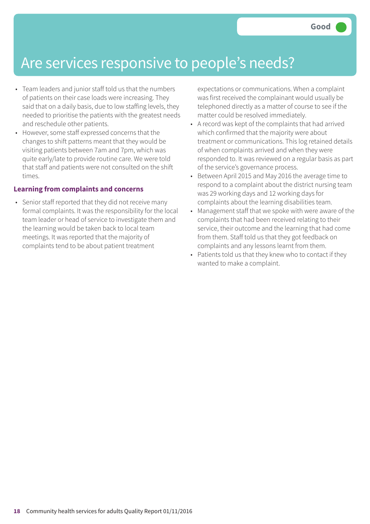### Are services responsive to people's needs?

- Team leaders and junior staff told us that the numbers of patients on their case loads were increasing. They said that on a daily basis, due to low staffing levels, they needed to prioritise the patients with the greatest needs and reschedule other patients.
- However, some staff expressed concerns that the changes to shift patterns meant that they would be visiting patients between 7am and 7pm, which was quite early/late to provide routine care. We were told that staff and patients were not consulted on the shift times.

#### **Learning from complaints and concerns**

• Senior staff reported that they did not receive many formal complaints. It was the responsibility for the local team leader or head of service to investigate them and the learning would be taken back to local team meetings. It was reported that the majority of complaints tend to be about patient treatment

expectations or communications. When a complaint was first received the complainant would usually be telephoned directly as a matter of course to see if the matter could be resolved immediately.

- A record was kept of the complaints that had arrived which confirmed that the majority were about treatment or communications. This log retained details of when complaints arrived and when they were responded to. It was reviewed on a regular basis as part of the service's governance process.
- Between April 2015 and May 2016 the average time to respond to a complaint about the district nursing team was 29 working days and 12 working days for complaints about the learning disabilities team.
- Management staff that we spoke with were aware of the complaints that had been received relating to their service, their outcome and the learning that had come from them. Staff told us that they got feedback on complaints and any lessons learnt from them.
- Patients told us that they knew who to contact if they wanted to make a complaint.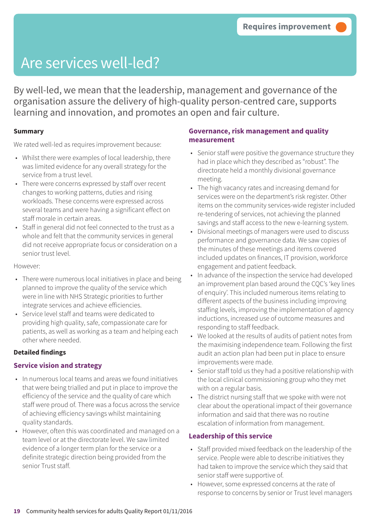## Are services well-led?

By well-led, we mean that the leadership, management and governance of the organisation assure the delivery of high-quality person-centred care, supports learning and innovation, and promotes an open and fair culture.

#### **Summary**

We rated well-led as requires improvement because:

- Whilst there were examples of local leadership, there was limited evidence for any overall strategy for the service from a trust level.
- There were concerns expressed by staff over recent changes to working patterns, duties and rising workloads. These concerns were expressed across several teams and were having a significant effect on staff morale in certain areas.
- Staff in general did not feel connected to the trust as a whole and felt that the community services in general did not receive appropriate focus or consideration on a senior trust level.

However:

- There were numerous local initiatives in place and being planned to improve the quality of the service which were in line with NHS Strategic priorities to further integrate services and achieve efficiencies.
- Service level staff and teams were dedicated to providing high quality, safe, compassionate care for patients, as well as working as a team and helping each other where needed.

#### **Detailed findings**

#### **Service vision and strategy**

- In numerous local teams and areas we found initiatives that were being trialled and put in place to improve the efficiency of the service and the quality of care which staff were proud of. There was a focus across the service of achieving efficiency savings whilst maintaining quality standards.
- However, often this was coordinated and managed on a team level or at the directorate level. We saw limited evidence of a longer term plan for the service or a definite strategic direction being provided from the senior Trust staff.

#### **Governance, risk management and quality measurement**

- Senior staff were positive the governance structure they had in place which they described as "robust". The directorate held a monthly divisional governance meeting.
- The high vacancy rates and increasing demand for services were on the department's risk register. Other items on the community services-wide register included re-tendering of services, not achieving the planned savings and staff access to the new e-learning system.
- Divisional meetings of managers were used to discuss performance and governance data. We saw copies of the minutes of these meetings and items covered included updates on finances, IT provision, workforce engagement and patient feedback.
- In advance of the inspection the service had developed an improvement plan based around the CQC's 'key lines of enquiry'. This included numerous items relating to different aspects of the business including improving staffing levels, improving the implementation of agency inductions, increased use of outcome measures and responding to staff feedback.
- We looked at the results of audits of patient notes from the maximising independence team. Following the first audit an action plan had been put in place to ensure improvements were made.
- Senior staff told us they had a positive relationship with the local clinical commissioning group who they met with on a regular basis.
- The district nursing staff that we spoke with were not clear about the operational impact of their governance information and said that there was no routine escalation of information from management.

#### **Leadership of this service**

- Staff provided mixed feedback on the leadership of the service. People were able to describe initiatives they had taken to improve the service which they said that senior staff were supportive of.
- However, some expressed concerns at the rate of response to concerns by senior or Trust level managers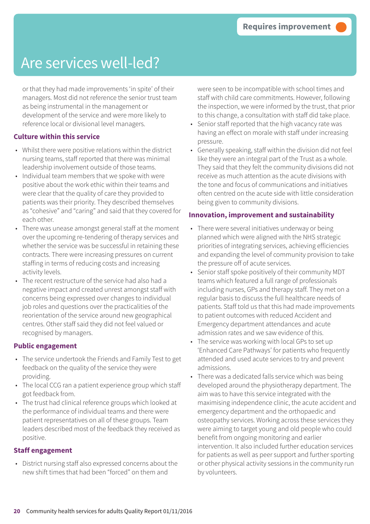## Are services well-led?

or that they had made improvements 'in spite' of their managers. Most did not reference the senior trust team as being instrumental in the management or development of the service and were more likely to reference local or divisional level managers.

#### **Culture within this service**

- Whilst there were positive relations within the district nursing teams, staff reported that there was minimal leadership involvement outside of those teams.
- Individual team members that we spoke with were positive about the work ethic within their teams and were clear that the quality of care they provided to patients was their priority. They described themselves as "cohesive" and "caring" and said that they covered for each other.
- There was unease amongst general staff at the moment over the upcoming re-tendering of therapy services and whether the service was be successful in retaining these contracts. There were increasing pressures on current staffing in terms of reducing costs and increasing activity levels.
- The recent restructure of the service had also had a negative impact and created unrest amongst staff with concerns being expressed over changes to individual job roles and questions over the practicalities of the reorientation of the service around new geographical centres. Other staff said they did not feel valued or recognised by managers.

#### **Public engagement**

- The service undertook the Friends and Family Test to get feedback on the quality of the service they were providing.
- The local CCG ran a patient experience group which staff got feedback from.
- The trust had clinical reference groups which looked at the performance of individual teams and there were patient representatives on all of these groups. Team leaders described most of the feedback they received as positive.

#### **Staff engagement**

• District nursing staff also expressed concerns about the new shift times that had been "forced" on them and

were seen to be incompatible with school times and staff with child care commitments. However, following the inspection, we were informed by the trust, that prior to this change, a consultation with staff did take place.

- Senior staff reported that the high vacancy rate was having an effect on morale with staff under increasing pressure.
- Generally speaking, staff within the division did not feel like they were an integral part of the Trust as a whole. They said that they felt the community divisions did not receive as much attention as the acute divisions with the tone and focus of communications and initiatives often centred on the acute side with little consideration being given to community divisions.

#### **Innovation, improvement and sustainability**

- There were several initiatives underway or being planned which were aligned with the NHS strategic priorities of integrating services, achieving efficiencies and expanding the level of community provision to take the pressure off of acute services.
- Senior staff spoke positively of their community MDT teams which featured a full range of professionals including nurses, GPs and therapy staff. They met on a regular basis to discuss the full healthcare needs of patients. Staff told us that this had made improvements to patient outcomes with reduced Accident and Emergency department attendances and acute admission rates and we saw evidence of this.
- The service was working with local GPs to set up 'Enhanced Care Pathways' for patients who frequently attended and used acute services to try and prevent admissions.
- There was a dedicated falls service which was being developed around the physiotherapy department. The aim was to have this service integrated with the maximising independence clinic, the acute accident and emergency department and the orthopaedic and osteopathy services. Working across these services they were aiming to target young and old people who could benefit from ongoing monitoring and earlier intervention. It also included further education services for patients as well as peer support and further sporting or other physical activity sessions in the community run by volunteers.